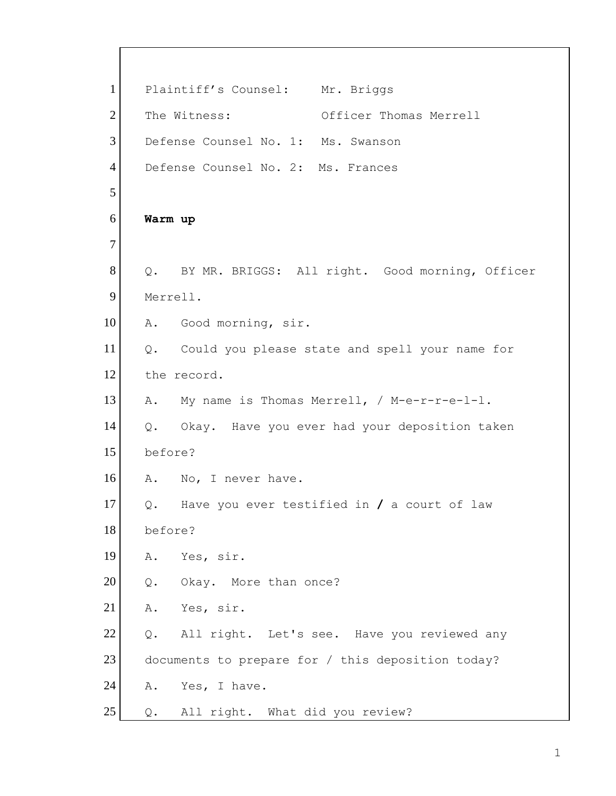1 Plaintiff's Counsel: Mr. Briggs 2 The Witness: Officer Thomas Merrell 3 Defense Counsel No. 1: Ms. Swanson 4 Defense Counsel No. 2: Ms. Frances 5 6 **Warm up** 7 8 Q. BY MR. BRIGGS: All right. Good morning, Officer 9 Merrell. 10 A. Good morning, sir. 11 | Q. Could you please state and spell your name for 12 the record. 13 A. My name is Thomas Merrell, / M-e-r-r-e-1-1. 14 Q. Okay. Have you ever had your deposition taken 15 before? 16 A. No, I never have. 17 Q. Have you ever testified in **/** a court of law 18 before? 19 A. Yes, sir. 20 Q. Okay. More than once? 21 A. Yes, sir. 22 Q. All right. Let's see. Have you reviewed any 23 documents to prepare for / this deposition today? 24 A. Yes, I have. 25 | Q. All right. What did you review?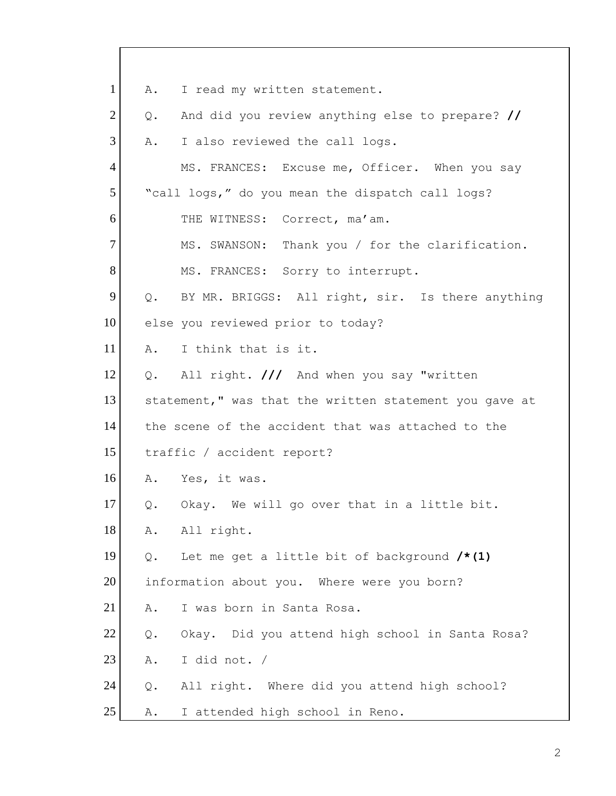1 A. I read my written statement. 2 Q. And did you review anything else to prepare? // 3 A. I also reviewed the call logs. 4 MS. FRANCES: Excuse me, Officer. When you say 5 | "call logs," do you mean the dispatch call logs? 6 THE WITNESS: Correct, ma'am. 7 MS. SWANSON: Thank you / for the clarification. 8 MS. FRANCES: Sorry to interrupt. 9 Q. BY MR. BRIGGS: All right, sir. Is there anything 10 else you reviewed prior to today? 11 A. I think that is it. 12 Q. All right. **///** And when you say "written 13 statement," was that the written statement you gave at 14 the scene of the accident that was attached to the 15 traffic / accident report? 16 A. Yes, it was.  $17$  Q. Okay. We will go over that in a little bit. 18 A. All right. 19 Q. Let me get a little bit of background **/\*(1)** 20 information about you. Where were you born? 21 | A. I was born in Santa Rosa. 22 Q. Okay. Did you attend high school in Santa Rosa?  $23$  A. I did not. / 24 Q. All right. Where did you attend high school? 25 | A. I attended high school in Reno.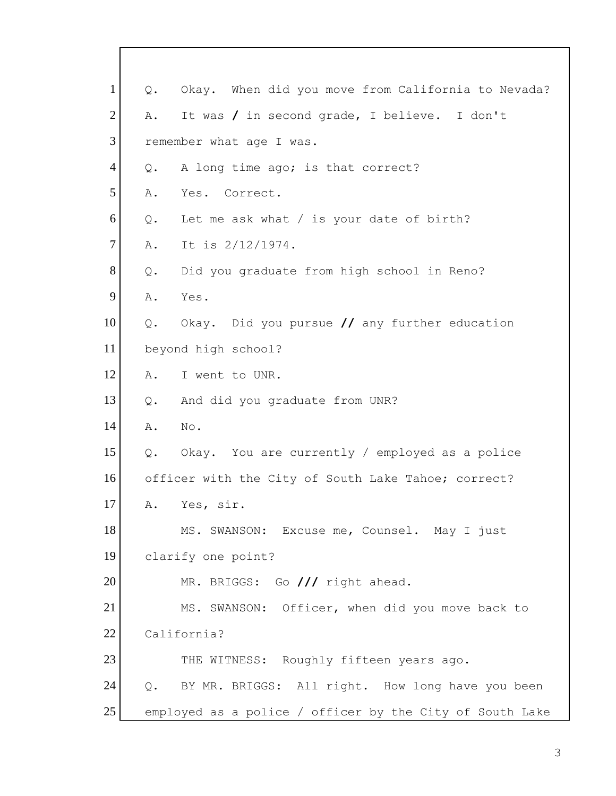| $\mathbf{1}$   | Q.    | Okay. When did you move from California to Nevada?       |
|----------------|-------|----------------------------------------------------------|
| $\overline{2}$ | Α.    | It was / in second grade, I believe. I don't             |
| 3              |       | remember what age I was.                                 |
| $\overline{4}$ | Q.    | A long time ago; is that correct?                        |
| 5              | Α.    | Yes. Correct.                                            |
| 6              | $Q$ . | Let me ask what $/$ is your date of birth?               |
| $\overline{7}$ | Α.    | It is 2/12/1974.                                         |
| 8              | Q.    | Did you graduate from high school in Reno?               |
| 9              | Α.    | Yes.                                                     |
| 10             | Q.    | Okay. Did you pursue // any further education            |
| 11             |       | beyond high school?                                      |
| 12             | Α.    | I went to UNR.                                           |
| 13             | Q.    | And did you graduate from UNR?                           |
| 14             | Α.    | No.                                                      |
| 15             |       | Q. Okay. You are currently / employed as a police        |
| 16             |       | officer with the City of South Lake Tahoe; correct?      |
| 17             | Α.    | Yes, sir.                                                |
| 18             |       | MS. SWANSON: Excuse me, Counsel. May I just              |
| 19             |       | clarify one point?                                       |
| 20             |       | MR. BRIGGS: Go /// right ahead.                          |
| 21             |       | MS. SWANSON: Officer, when did you move back to          |
| 22             |       | California?                                              |
| 23             |       | THE WITNESS: Roughly fifteen years ago.                  |
| 24             |       | Q. BY MR. BRIGGS: All right. How long have you been      |
| 25             |       | employed as a police / officer by the City of South Lake |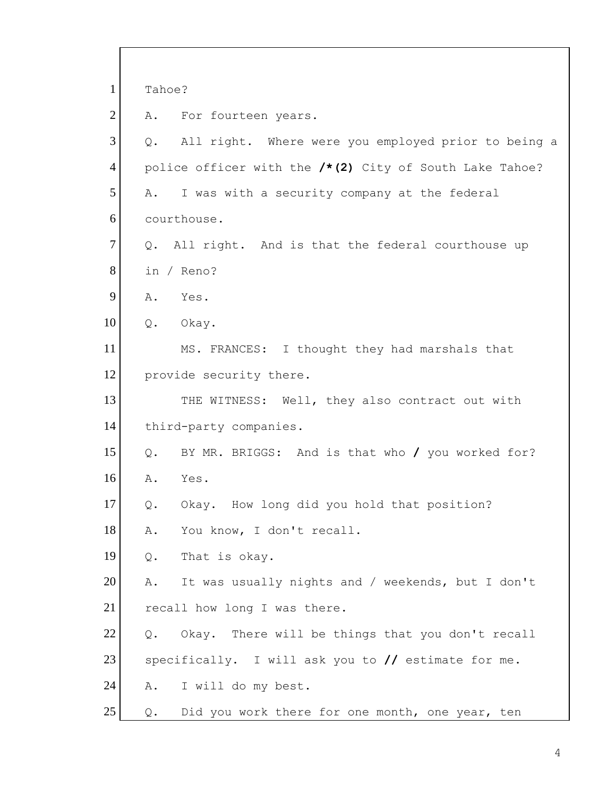| $\mathbf{1}$   | Tahoe? |                                                         |
|----------------|--------|---------------------------------------------------------|
| $\overline{2}$ | Α.     | For fourteen years.                                     |
| 3              | Q.     | All right. Where were you employed prior to being a     |
| $\overline{4}$ |        | police officer with the /*(2) City of South Lake Tahoe? |
| 5              | Α.     | I was with a security company at the federal            |
| 6              |        | courthouse.                                             |
| $\tau$         | Q.     | All right. And is that the federal courthouse up        |
| 8              |        | in / Reno?                                              |
| 9              | Α.     | Yes.                                                    |
| 10             | Q.     | Okay.                                                   |
| 11             |        | MS. FRANCES: I thought they had marshals that           |
| 12             |        | provide security there.                                 |
| 13             |        | THE WITNESS: Well, they also contract out with          |
| 14             |        | third-party companies.                                  |
| 15             | Q.     | BY MR. BRIGGS: And is that who / you worked for?        |
| 16             | Α.     | Yes.                                                    |
| 17             | $Q$ .  | How long did you hold that position?<br>Okay.           |
| 18             | Α.     | You know, I don't recall.                               |
| 19             | Q.     | That is okay.                                           |
| 20             | Α.     | It was usually nights and / weekends, but I don't       |
| 21             |        | recall how long I was there.                            |
| 22             | $Q$ .  | Okay. There will be things that you don't recall        |
| 23             |        | specifically. I will ask you to $//$ estimate for me.   |
| 24             | Α.     | I will do my best.                                      |
| 25             | Q.     | Did you work there for one month, one year, ten         |

 $\overline{\Gamma}$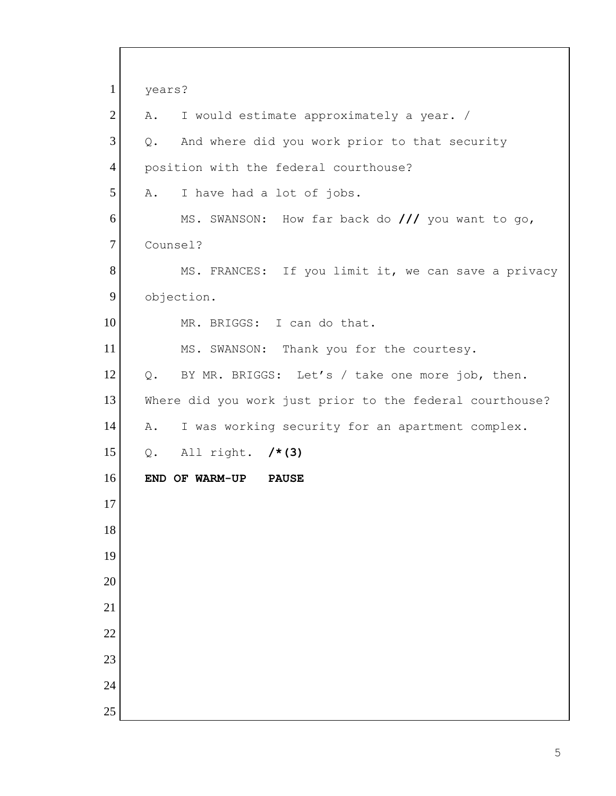| $\mathbf{1}$   | years?                                                   |
|----------------|----------------------------------------------------------|
| $\overline{2}$ | I would estimate approximately a year. /<br>Α.           |
| 3              | And where did you work prior to that security<br>Q.      |
| 4              | position with the federal courthouse?                    |
| 5              | I have had a lot of jobs.<br>Α.                          |
| 6              | MS. SWANSON: How far back do /// you want to go,         |
| $\tau$         | Counsel?                                                 |
| 8              | MS. FRANCES: If you limit it, we can save a privacy      |
| 9              | objection.                                               |
| 10             | MR. BRIGGS: I can do that.                               |
| 11             | MS. SWANSON: Thank you for the courtesy.                 |
| 12             | BY MR. BRIGGS: Let's / take one more job, then.<br>Q.    |
| 13             | Where did you work just prior to the federal courthouse? |
| 14             | I was working security for an apartment complex.<br>Α.   |
| 15             | Q. All right. $/* (3)$                                   |
| 16             | END OF WARM-UP<br><b>PAUSE</b>                           |
| 17             |                                                          |
| 18             |                                                          |
| 19             |                                                          |
| 20             |                                                          |
| 21             |                                                          |
| 22             |                                                          |
| 23             |                                                          |
| 24             |                                                          |
| 25             |                                                          |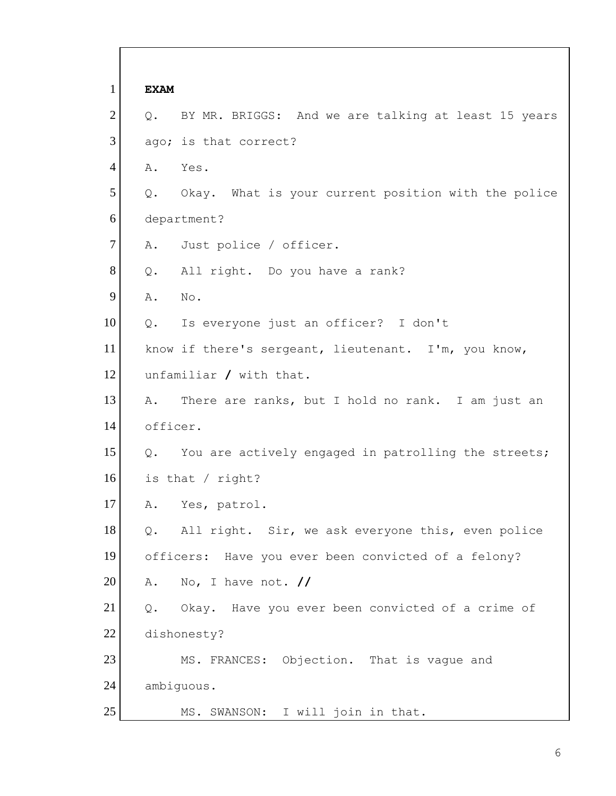1 **EXAM** 2 Q. BY MR. BRIGGS: And we are talking at least 15 years 3 ago; is that correct? 4 A. Yes.  $5$  Q. Okay. What is your current position with the police 6 department? 7 A. Just police / officer. 8 Q. All right. Do you have a rank? 9 A. No. 10 | Q. Is everyone just an officer? I don't 11 know if there's sergeant, lieutenant. I'm, you know, 12 unfamiliar **/** with that. 13 A. There are ranks, but I hold no rank. I am just an 14 officer. 15 | Q. You are actively engaged in patrolling the streets; 16 is that / right? 17 A. Yes, patrol. 18 Q. All right. Sir, we ask everyone this, even police 19 officers: Have you ever been convicted of a felony? 20 A. No, I have not. **//** 21 | Q. Okay. Have you ever been convicted of a crime of 22 dishonesty? 23 MS. FRANCES: Objection. That is vaque and 24 ambiguous. 25 MS. SWANSON: I will join in that.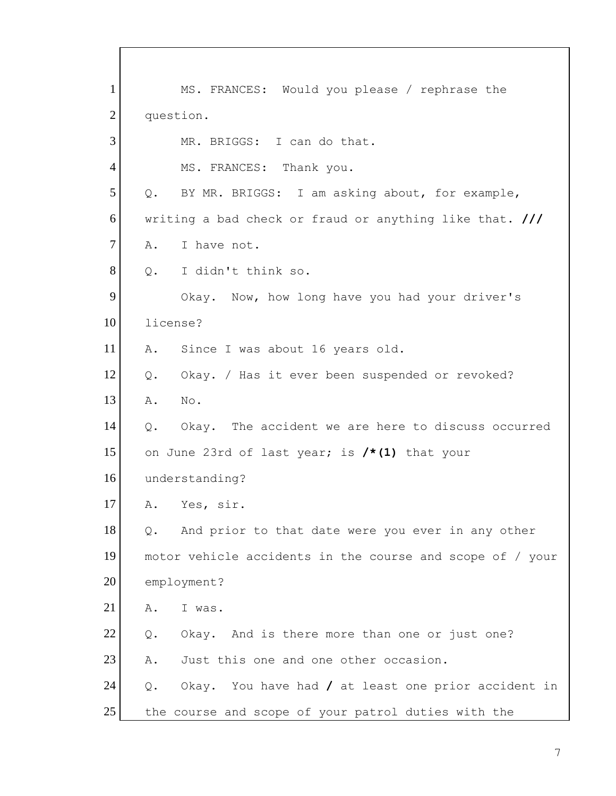1 MS. FRANCES: Would you please / rephrase the 2 question. 3 MR. BRIGGS: I can do that. 4 MS. FRANCES: Thank you. 5 Q. BY MR. BRIGGS: I am asking about, for example, 6 writing a bad check or fraud or anything like that. **///** 7 A. I have not. 8 0. I didn't think so. 9 Okay. Now, how long have you had your driver's 10 license? 11 A. Since I was about 16 years old. 12 | Q. Okay. / Has it ever been suspended or revoked? 13 A. No. 14 Q. Okay. The accident we are here to discuss occurred 15 on June 23rd of last year; is **/\*(1)** that your 16 understanding? 17 A. Yes, sir.  $18$  Q. And prior to that date were you ever in any other 19 motor vehicle accidents in the course and scope of / your 20 employment? 21 A. I was. 22 Q. Okay. And is there more than one or just one? 23 A. Just this one and one other occasion. 24 Q. Okay. You have had **/** at least one prior accident in 25 the course and scope of your patrol duties with the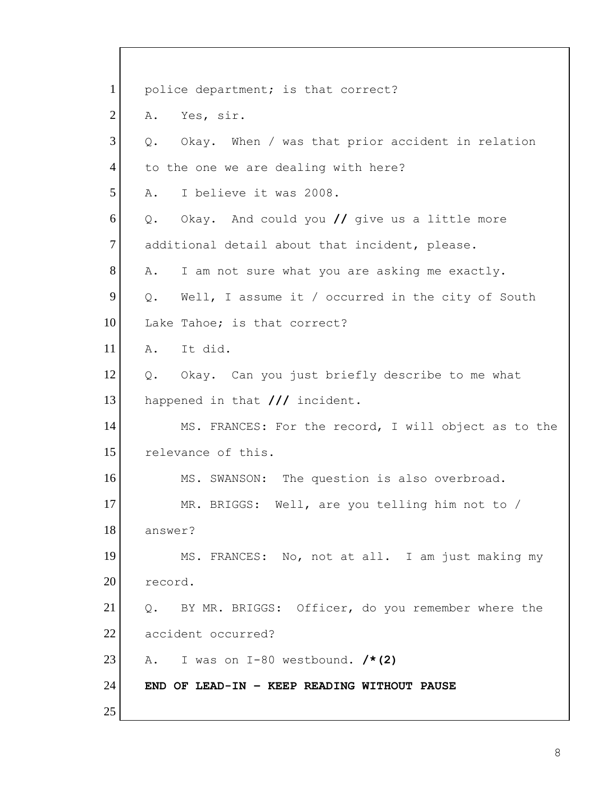| $\mathbf{1}$   | police department; is that correct?                     |
|----------------|---------------------------------------------------------|
| $\overline{2}$ | Yes, sir.<br>Α.                                         |
| 3              | Okay. When / was that prior accident in relation<br>Q.  |
| $\overline{4}$ | to the one we are dealing with here?                    |
| 5              | I believe it was 2008.<br>Α.                            |
| 6              | Okay. And could you // give us a little more<br>Q.      |
| 7              | additional detail about that incident, please.          |
| 8              | I am not sure what you are asking me exactly.<br>Α.     |
| 9              | Well, I assume it / occurred in the city of South<br>Q. |
| 10             | Lake Tahoe; is that correct?                            |
| 11             | It did.<br>Α.                                           |
| 12             | Q. Okay. Can you just briefly describe to me what       |
| 13             | happened in that /// incident.                          |
| 14             | MS. FRANCES: For the record, I will object as to the    |
| 15             | relevance of this.                                      |
| 16             | MS. SWANSON: The question is also overbroad.            |
| 17             | MR. BRIGGS: Well, are you telling him not to /          |
| 18             | answer?                                                 |
| 19             | MS. FRANCES: No, not at all. I am just making my        |
| 20             | record.                                                 |
| 21             | BY MR. BRIGGS: Officer, do you remember where the<br>Q. |
| 22             | accident occurred?                                      |
| 23             | A. I was on I-80 westbound. $/* (2)$                    |
| 24             | END OF LEAD-IN - KEEP READING WITHOUT PAUSE             |
| 25             |                                                         |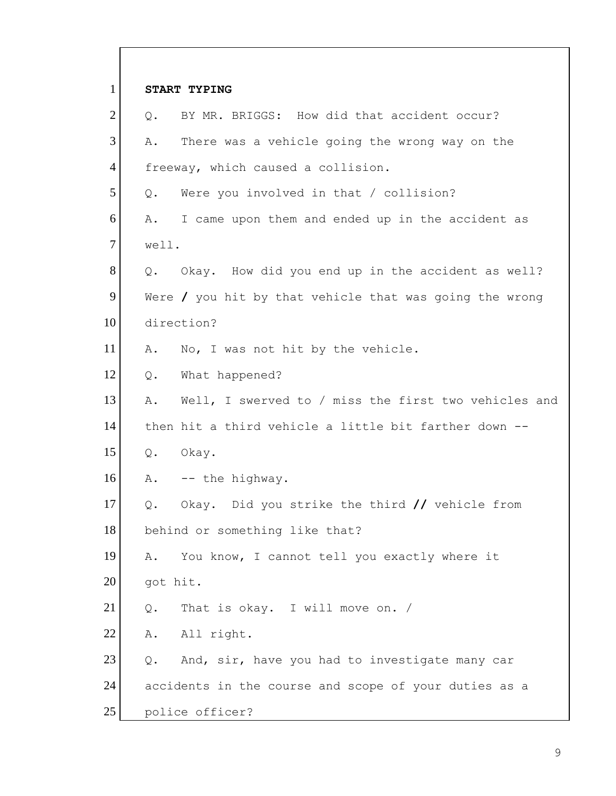| $\mathbf{1}$   |          | <b>START TYPING</b>                                            |
|----------------|----------|----------------------------------------------------------------|
| $\overline{2}$ | $Q$ .    | BY MR. BRIGGS: How did that accident occur?                    |
| 3              | Α.       | There was a vehicle going the wrong way on the                 |
| $\overline{4}$ |          | freeway, which caused a collision.                             |
| 5              | Q.       | Were you involved in that / collision?                         |
| 6              | Α.       | I came upon them and ended up in the accident as               |
| $\tau$         | well.    |                                                                |
| 8              |          | Q. Okay. How did you end up in the accident as well?           |
| 9              |          | Were $\prime$ you hit by that vehicle that was going the wrong |
| 10             |          | direction?                                                     |
| 11             | Α.       | No, I was not hit by the vehicle.                              |
| 12             | Q.       | What happened?                                                 |
| 13             | Α.       | Well, I swerved to / miss the first two vehicles and           |
| 14             |          | then hit a third vehicle a little bit farther down --          |
| 15             | Q.       | Okay.                                                          |
| 16             | Α.       | -- the highway.                                                |
| 17             | Q.       | Okay. Did you strike the third // vehicle from                 |
| 18             |          | behind or something like that?                                 |
| 19             | Α.       | You know, I cannot tell you exactly where it                   |
| 20             | got hit. |                                                                |
| 21             | Q.       | That is okay. I will move on. /                                |
| 22             | Α.       | All right.                                                     |
| 23             | Q.       | And, sir, have you had to investigate many car                 |
| 24             |          | accidents in the course and scope of your duties as a          |
| 25             |          | police officer?                                                |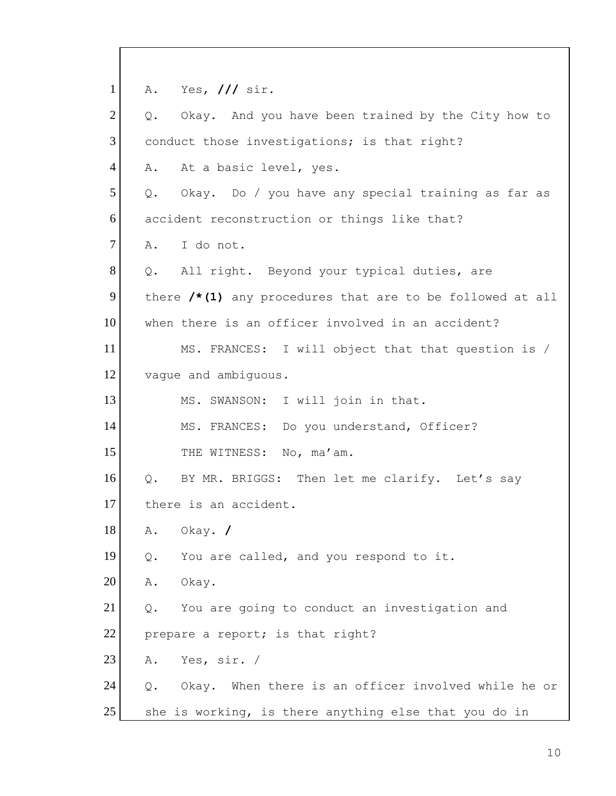1 A. Yes, **///** sir.  $2$  Q. Okay. And you have been trained by the City how to 3 conduct those investigations; is that right? 4 A. At a basic level, yes.  $5$  Q. Okay. Do / you have any special training as far as 6 accident reconstruction or things like that? 7 A. I do not. 8 Q. All right. Beyond your typical duties, are 9 there /\*(1) any procedures that are to be followed at all 10 when there is an officer involved in an accident? 11 MS. FRANCES: I will object that that question is / 12 vague and ambiguous. 13 MS. SWANSON: I will join in that. 14 MS. FRANCES: Do you understand, Officer? 15 THE WITNESS: No, ma'am. 16 Q. BY MR. BRIGGS: Then let me clarify. Let's say 17 there is an accident. 18 A. Okay. **/** 19 Q. You are called, and you respond to it. 20 A. Okay.  $21$  Q. You are going to conduct an investigation and 22 prepare a report; is that right? 23 A. Yes, sir. / 24 Q. Okay. When there is an officer involved while he or 25 She is working, is there anything else that you do in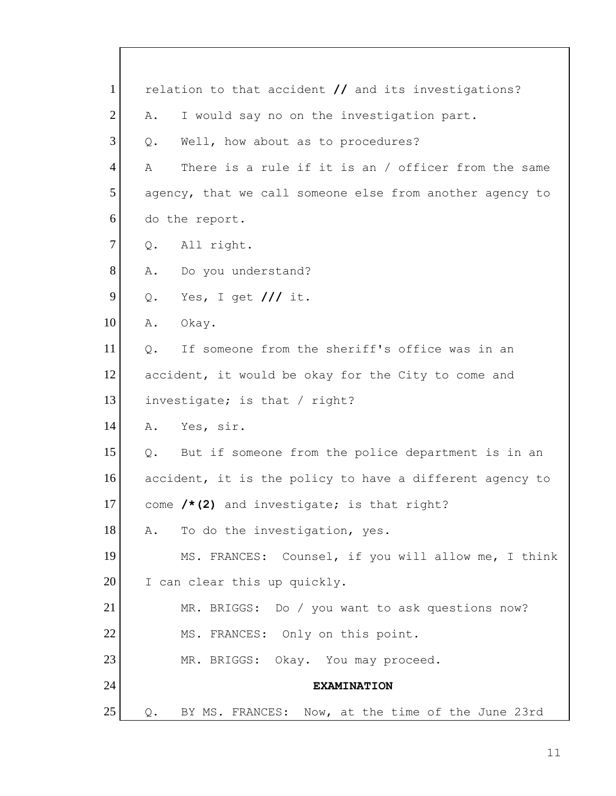| $\mathbf{1}$   |       | relation to that accident // and its investigations?     |
|----------------|-------|----------------------------------------------------------|
| $\overline{2}$ | Α.    | I would say no on the investigation part.                |
| 3              | $Q$ . | Well, how about as to procedures?                        |
| $\overline{4}$ | Α     | There is a rule if it is an / officer from the same      |
| 5              |       | agency, that we call someone else from another agency to |
| 6              |       | do the report.                                           |
| $\overline{7}$ | Q.    | All right.                                               |
| 8              | Α.    | Do you understand?                                       |
| 9              | Q.    | Yes, I get $//$ it.                                      |
| 10             | Α.    | Okay.                                                    |
| 11             | Q.    | If someone from the sheriff's office was in an           |
| 12             |       | accident, it would be okay for the City to come and      |
| 13             |       | investigate; is that / right?                            |
| 14             | Α.    | Yes, sir.                                                |
| 15             | Q.    | But if someone from the police department is in an       |
| 16             |       | accident, it is the policy to have a different agency to |
| 17             |       | come $/* (2)$ and investigate; is that right?            |
| 18             | Α.    | To do the investigation, yes.                            |
| 19             |       | MS. FRANCES: Counsel, if you will allow me, I think      |
| 20             |       | I can clear this up quickly.                             |
| 21             |       | MR. BRIGGS: Do / you want to ask questions now?          |
| 22             |       | MS. FRANCES: Only on this point.                         |
| 23             |       | MR. BRIGGS: Okay. You may proceed.                       |
| 24             |       | <b>EXAMINATION</b>                                       |
| 25             | $Q$ . | BY MS. FRANCES: Now, at the time of the June 23rd        |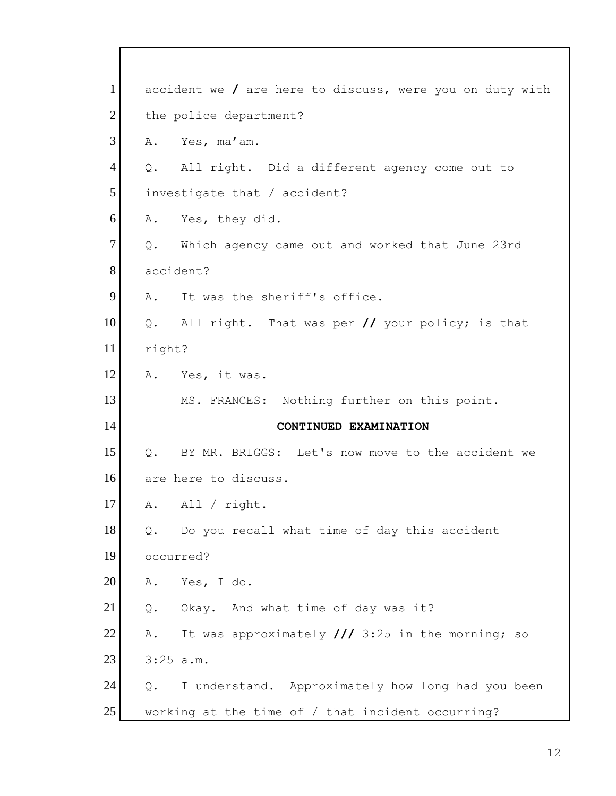| $\mathbf{1}$   | accident we / are here to discuss, were you on duty with         |
|----------------|------------------------------------------------------------------|
| $\overline{2}$ | the police department?                                           |
| 3              | A. Yes, ma'am.                                                   |
| $\overline{4}$ | Q. All right. Did a different agency come out to                 |
| 5              | investigate that / accident?                                     |
| 6              | A. Yes, they did.                                                |
| 7              | Which agency came out and worked that June 23rd<br>$Q_{\bullet}$ |
| 8              | accident?                                                        |
| 9              | It was the sheriff's office.<br>$A$ .                            |
| 10             | Q. All right. That was per // your policy; is that               |
| 11             | right?                                                           |
| 12             | A. Yes, it was.                                                  |
| 13             | MS. FRANCES: Nothing further on this point.                      |
|                |                                                                  |
| 14             | CONTINUED EXAMINATION                                            |
| 15             | Q. BY MR. BRIGGS: Let's now move to the accident we              |
| 16             | are here to discuss.                                             |
| 17             | All / right.<br>Α.                                               |
| 18             | Do you recall what time of day this accident<br>Q.               |
| 19             | occurred?                                                        |
| 20             | Yes, I do.<br>Α.                                                 |
| 21             | Okay. And what time of day was it?<br>Q.                         |
| 22             | It was approximately $//$ 3:25 in the morning; so<br>Α.          |
| 23             | $3:25$ a.m.                                                      |
| 24             | I understand. Approximately how long had you been<br>Q.          |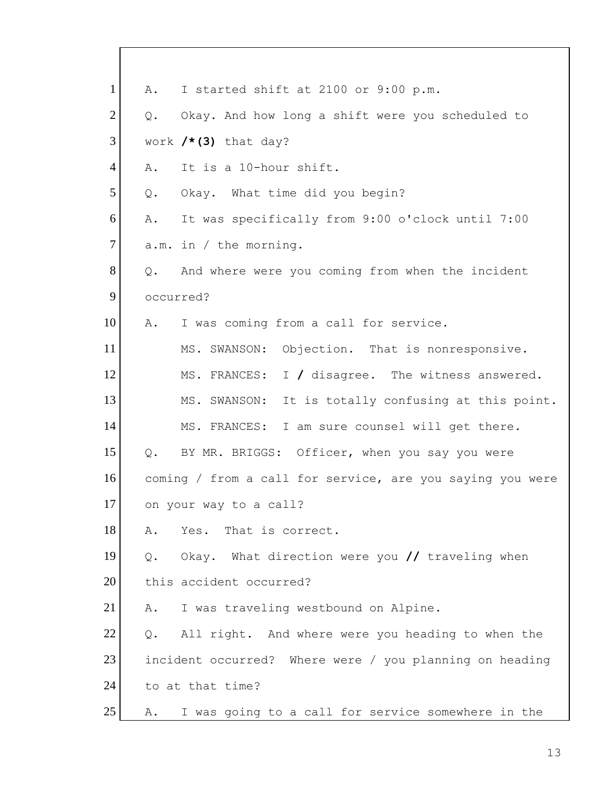| $\mathbf{1}$   | Α.    | I started shift at 2100 or 9:00 p.m.                      |
|----------------|-------|-----------------------------------------------------------|
| $\overline{2}$ | Q.    | Okay. And how long a shift were you scheduled to          |
| 3              |       | work $/*$ (3) that day?                                   |
| $\overline{4}$ | Α.    | It is a 10-hour shift.                                    |
| 5              | Q.    | Okay. What time did you begin?                            |
| 6              | Α.    | It was specifically from 9:00 o'clock until 7:00          |
| $\tau$         |       | $a.m.$ in / the morning.                                  |
| 8              | Q.    | And where were you coming from when the incident          |
| 9              |       | occurred?                                                 |
| 10             | Α.    | I was coming from a call for service.                     |
| 11             |       | MS. SWANSON: Objection. That is nonresponsive.            |
| 12             |       | MS. FRANCES: I / disagree. The witness answered.          |
| 13             |       | MS. SWANSON: It is totally confusing at this point.       |
| 14             |       | MS. FRANCES: I am sure counsel will get there.            |
| 15             | Q.    | BY MR. BRIGGS: Officer, when you say you were             |
| 16             |       | coming / from a call for service, are you saying you were |
| 17             |       | on your way to a call?                                    |
| 18             | Α.    | That is correct.<br>Yes.                                  |
| 19             | Q.    | Okay. What direction were you // traveling when           |
| 20             |       | this accident occurred?                                   |
| 21             | Α.    | I was traveling westbound on Alpine.                      |
| 22             | $Q$ . | All right. And where were you heading to when the         |
| 23             |       | incident occurred? Where were / you planning on heading   |
| 24             |       | to at that time?                                          |
| 25             | Α.    | I was going to a call for service somewhere in the        |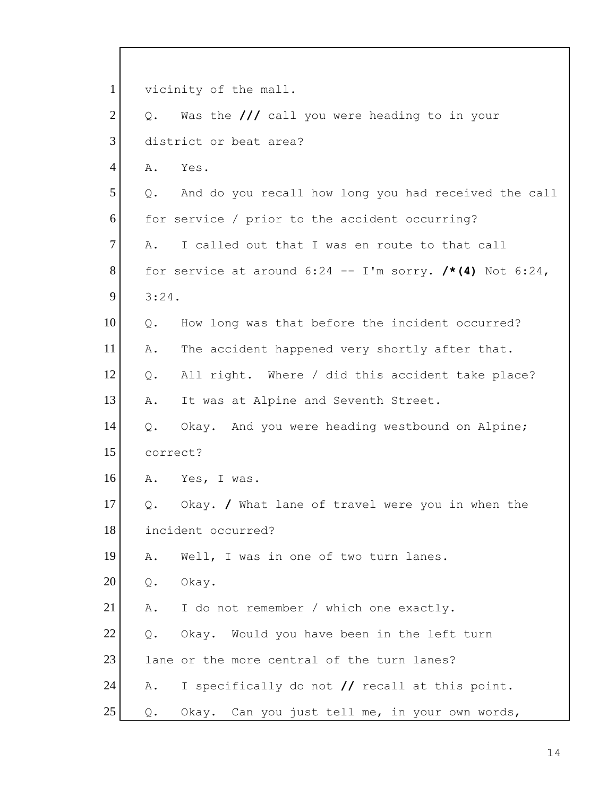1 vicinity of the mall. 2 Q. Was the /// call you were heading to in your 3 district or beat area? 4 A. Yes.  $5$  Q. And do you recall how long you had received the call 6 for service / prior to the accident occurring?  $7$  A. I called out that I was en route to that call 8 for service at around  $6:24$  -- I'm sorry.  $/* (4)$  Not  $6:24$ , 9 3:24. 10 | Q. How long was that before the incident occurred? 11 A. The accident happened very shortly after that. 12 Q. All right. Where / did this accident take place? 13 A. It was at Alpine and Seventh Street. 14 Q. Okay. And you were heading westbound on Alpine; 15 correct? 16 A. Yes, I was. 17 Q. Okay. **/** What lane of travel were you in when the 18 incident occurred? 19 A. Well, I was in one of two turn lanes. 20 Q. Okay. 21 | A. I do not remember / which one exactly. 22 Q. Okay. Would you have been in the left turn 23 lane or the more central of the turn lanes? 24 A. I specifically do not **//** recall at this point. 25 Q. Okay. Can you just tell me, in your own words,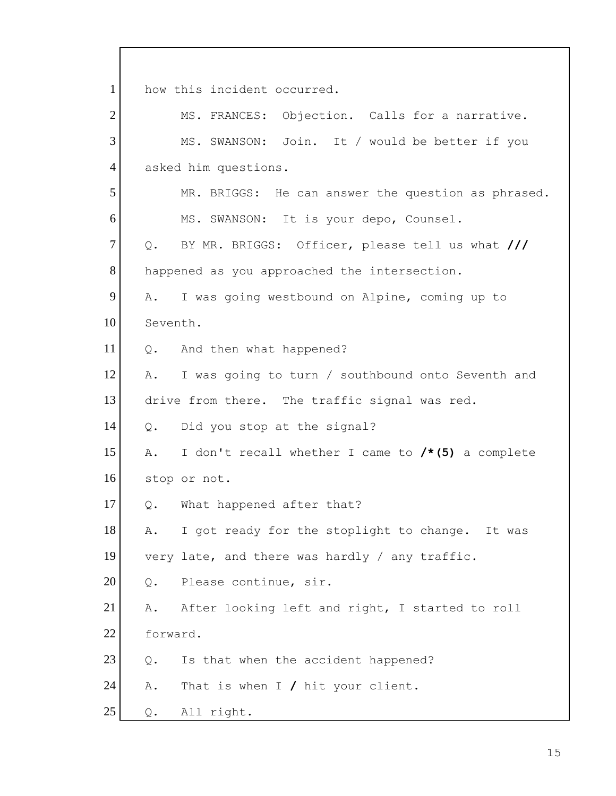1 how this incident occurred. 2 MS. FRANCES: Objection. Calls for a narrative. 3 MS. SWANSON: Join. It / would be better if you 4 asked him questions. 5 MR. BRIGGS: He can answer the question as phrased. 6 MS. SWANSON: It is your depo, Counsel. 7 Q. BY MR. BRIGGS: Officer, please tell us what **///** 8 happened as you approached the intersection. 9 A. I was going westbound on Alpine, coming up to 10 Seventh. 11 Q. And then what happened? 12 A. I was going to turn / southbound onto Seventh and 13 drive from there. The traffic signal was red. 14 Q. Did you stop at the signal? 15 A. I don't recall whether I came to **/\*(5)** a complete 16 stop or not. 17 | Q. What happened after that? 18 A. I got ready for the stoplight to change. It was 19 very late, and there was hardly / any traffic. 20 Q. Please continue, sir. 21 A. After looking left and right, I started to roll 22 forward.  $23$  Q. Is that when the accident happened? 24 A. That is when I **/** hit your client.  $25$  Q. All right.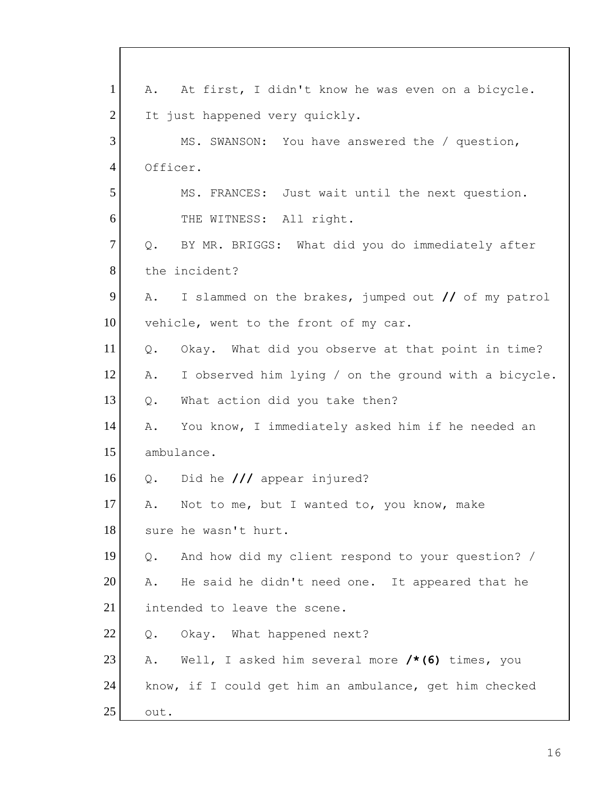| $\mathbf{1}$   | A. At first, I didn't know he was even on a bicycle.       |
|----------------|------------------------------------------------------------|
| $\overline{2}$ | It just happened very quickly.                             |
| 3              | MS. SWANSON: You have answered the / question,             |
| $\overline{4}$ | Officer.                                                   |
| 5              | MS. FRANCES: Just wait until the next question.            |
| 6              | THE WITNESS: All right.                                    |
| $\overline{7}$ | Q. BY MR. BRIGGS: What did you do immediately after        |
| 8              | the incident?                                              |
| 9              | I slammed on the brakes, jumped out // of my patrol<br>Α.  |
| 10             | vehicle, went to the front of my car.                      |
| 11             | Okay. What did you observe at that point in time?<br>Q.    |
| 12             | I observed him lying / on the ground with a bicycle.<br>Α. |
| 13             | What action did you take then?<br>Q.                       |
| 14             | You know, I immediately asked him if he needed an<br>Α.    |
| 15             | ambulance.                                                 |
| 16             | Did he $//$ appear injured?<br>Q.                          |
| 17             | Not to me, but I wanted to, you know, make<br>Α.           |
| 18             | sure he wasn't hurt.                                       |
| 19             | And how did my client respond to your question? /<br>Q.    |
| 20             | He said he didn't need one. It appeared that he<br>Α.      |
| 21             | intended to leave the scene.                               |
| 22             | Okay. What happened next?<br>Q.                            |
| 23             | Well, I asked him several more $/* (6)$ times, you<br>Α.   |
| 24             | know, if I could get him an ambulance, get him checked     |
| 25             | out.                                                       |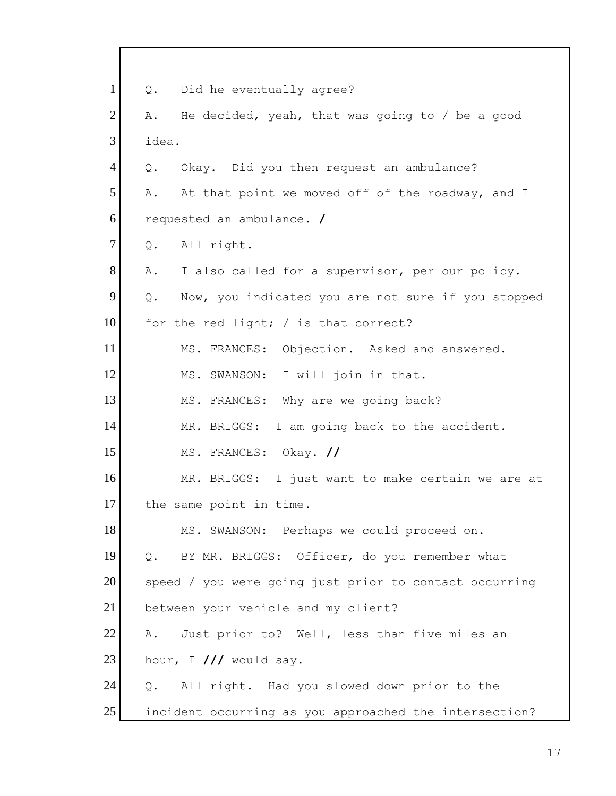1 | Q. Did he eventually agree? 2  $A.$  He decided, yeah, that was going to / be a good 3 idea. 4 Q. Okay. Did you then request an ambulance? 5 A. At that point we moved off of the roadway, and I 6 requested an ambulance. **/** 7 Q. All right. 8 A. I also called for a supervisor, per our policy. 9 Q. Now, you indicated you are not sure if you stopped 10 for the red light; / is that correct? 11 MS. FRANCES: Objection. Asked and answered. 12 MS. SWANSON: I will join in that. 13 MS. FRANCES: Why are we going back? 14 MR. BRIGGS: I am going back to the accident. 15 MS. FRANCES: Okay. **//** 16 MR. BRIGGS: I just want to make certain we are at 17 the same point in time. 18 MS. SWANSON: Perhaps we could proceed on. 19 | Q. BY MR. BRIGGS: Officer, do you remember what 20 speed / you were going just prior to contact occurring 21 between your vehicle and my client? 22 A. Just prior to? Well, less than five miles an  $23$  hour, I  $//$  would say. 24 Q. All right. Had you slowed down prior to the 25 incident occurring as you approached the intersection?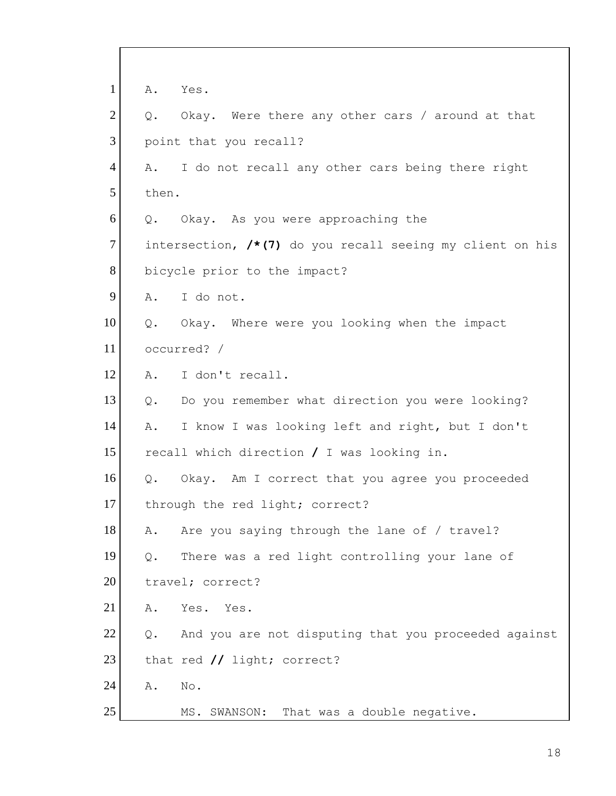| $\mathbf{1}$   | Α.            | Yes.                                                      |
|----------------|---------------|-----------------------------------------------------------|
| $\overline{2}$ | Q.            | Okay. Were there any other cars / around at that          |
| 3              |               | point that you recall?                                    |
| $\overline{4}$ | Α.            | I do not recall any other cars being there right          |
| 5              | then.         |                                                           |
| 6              |               | Q. Okay. As you were approaching the                      |
| $\overline{7}$ |               | intersection, /*(7) do you recall seeing my client on his |
| 8              |               | bicycle prior to the impact?                              |
| 9              | A.            | I do not.                                                 |
| 10             |               | Q. Okay. Where were you looking when the impact           |
| 11             |               | occurred? /                                               |
| 12             | Α.            | I don't recall.                                           |
| 13             | $Q_{\bullet}$ | Do you remember what direction you were looking?          |
| 14             | Α.            | I know I was looking left and right, but I don't          |
| 15             |               | recall which direction / I was looking in.                |
| 16             | Q.            | Okay. Am I correct that you agree you proceeded           |
| 17             |               | through the red light; correct?                           |
| 18             | Α.            | Are you saying through the lane of / travel?              |
| 19             | Q.            | There was a red light controlling your lane of            |
| 20             |               | travel; correct?                                          |
| 21             | Α.            | Yes.<br>Yes.                                              |
| 22             | $Q$ .         | And you are not disputing that you proceeded against      |
| 23             |               | that red // light; correct?                               |
| 24             | Α.            | No.                                                       |
| 25             |               | MS. SWANSON: That was a double negative.                  |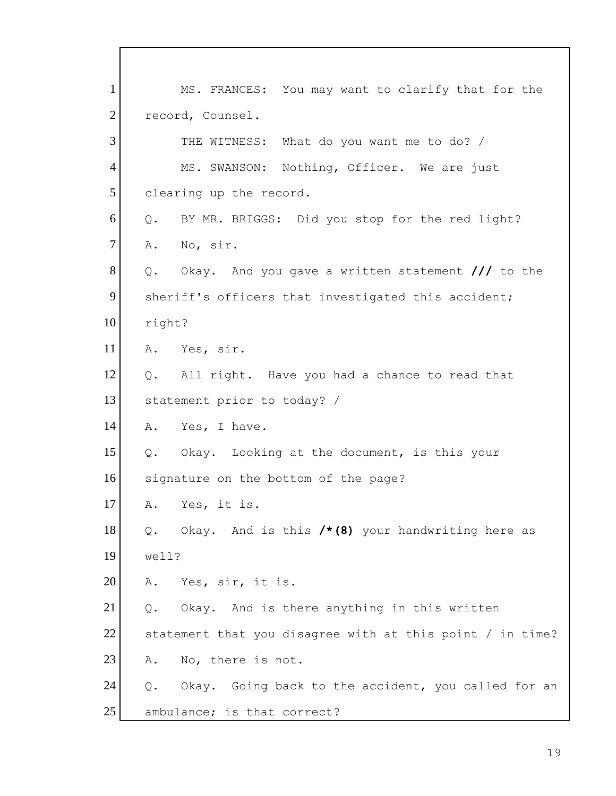1 MS. FRANCES: You may want to clarify that for the 2 record, Counsel. 3 THE WITNESS: What do you want me to do? / 4 MS. SWANSON: Nothing, Officer. We are just 5 clearing up the record. 6 Q. BY MR. BRIGGS: Did you stop for the red light? 7 A. No, sir. 8 Q. Okay. And you gave a written statement /// to the 9 sheriff's officers that investigated this accident; 10 right? 11 A. Yes, sir. 12 Q. All right. Have you had a chance to read that 13 statement prior to today? / 14 A. Yes, I have. 15 Q. Okay. Looking at the document, is this your 16 signature on the bottom of the page? 17 A. Yes, it is. 18 Q. Okay. And is this **/\*(8)** your handwriting here as 19 well? 20 A. Yes, sir, it is.  $21$  Q. Okay. And is there anything in this written 22 statement that you disagree with at this point / in time? 23 A. No, there is not.  $24$  Q. Okay. Going back to the accident, you called for an 25 ambulance; is that correct?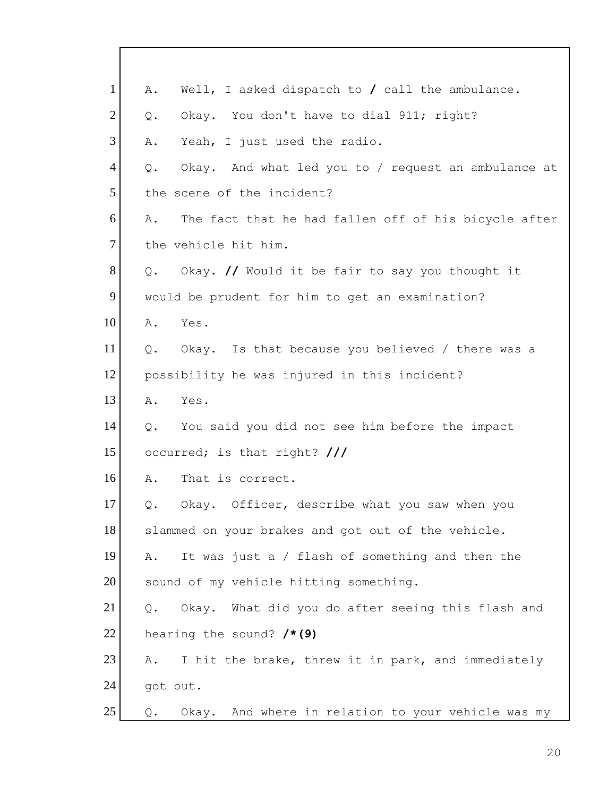| $\mathbf{1}$   | Well, I asked dispatch to $/$ call the ambulance.<br>Α.    |
|----------------|------------------------------------------------------------|
| $\overline{2}$ | Okay. You don't have to dial 911; right?<br>Q.             |
| 3              | Yeah, I just used the radio.<br>Α.                         |
| $\overline{4}$ | Okay. And what led you to / request an ambulance at<br>Q.  |
| 5              | the scene of the incident?                                 |
| 6              | The fact that he had fallen off of his bicycle after<br>Α. |
| $\overline{7}$ | the vehicle hit him.                                       |
| 8              | Okay. // Would it be fair to say you thought it<br>Q.      |
| 9              | would be prudent for him to get an examination?            |
| 10             | Α.<br>Yes.                                                 |
| 11             | Okay. Is that because you believed / there was a<br>Q.     |
| 12             | possibility he was injured in this incident?               |
| 13             | Yes.<br>Α.                                                 |
| 14             | You said you did not see him before the impact<br>Q.       |
| 15             | occurred; is that right? ///                               |
| 16             | That is correct.<br>Α.                                     |
| 17             | Okay. Officer, describe what you saw when you<br>Q.        |
| 18             | slammed on your brakes and got out of the vehicle.         |
| 19             | It was just a / flash of something and then the<br>Α.      |
| 20             | sound of my vehicle hitting something.                     |
| 21             | Okay. What did you do after seeing this flash and<br>Q.    |
| 22             | hearing the sound? /*(9)                                   |
| 23             | I hit the brake, threw it in park, and immediately<br>Α.   |
| 24             | got out.                                                   |
| 25             | Okay. And where in relation to your vehicle was my<br>Q.   |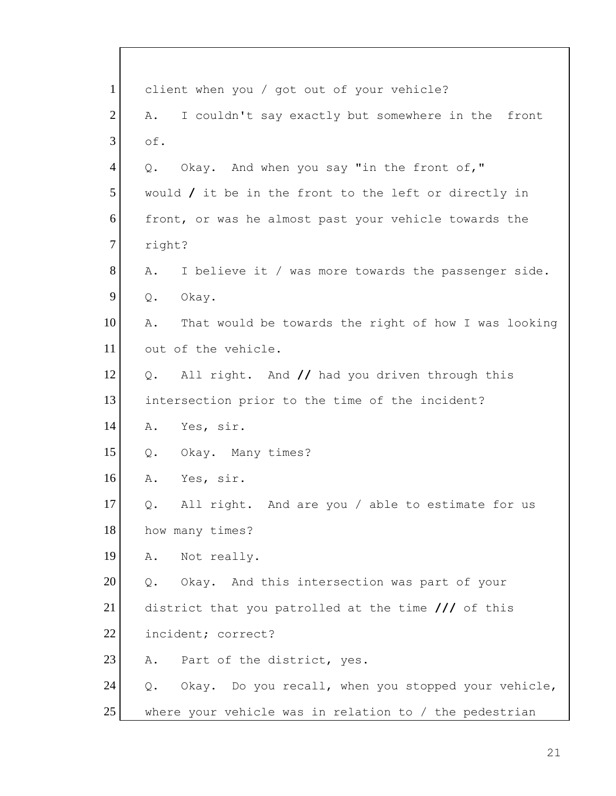| $\mathbf{1}$   | client when you / got out of your vehicle?                           |
|----------------|----------------------------------------------------------------------|
| $\overline{2}$ | I couldn't say exactly but somewhere in the front<br>Α.              |
| 3              | of.                                                                  |
| $\overline{4}$ | Okay. And when you say "in the front of,"<br>$Q$ .                   |
| 5              | would $\prime$ it be in the front to the left or directly in         |
| 6              | front, or was he almost past your vehicle towards the                |
| $\overline{7}$ | right?                                                               |
| 8              | I believe it / was more towards the passenger side.<br>Α.            |
| 9              | Q.<br>Okay.                                                          |
| 10             | That would be towards the right of how I was looking<br>Α.           |
| 11             | out of the vehicle.                                                  |
| 12             | All right. And // had you driven through this<br>Q.                  |
| 13             | intersection prior to the time of the incident?                      |
| 14             | Yes, sir.<br>Α.                                                      |
| 15             | Okay. Many times?<br>Q.                                              |
| 16             | Α.<br>Yes, sir.                                                      |
| 17             | All right. And are you / able to estimate for us<br>$Q$ .            |
| 18             | how many times?                                                      |
| 19             | Not really.<br>Α.                                                    |
| 20             | Okay. And this intersection was part of your<br>Q.                   |
| 21             | district that you patrolled at the time $\frac{1}{1}$ of this        |
| 22             | incident; correct?                                                   |
| 23             | Part of the district, yes.<br>Α.                                     |
| 24             | Okay. Do you recall, when you stopped your vehicle,<br>$Q_{\bullet}$ |
| 25             | where your vehicle was in relation to $/$ the pedestrian             |

 $\overline{\Gamma}$